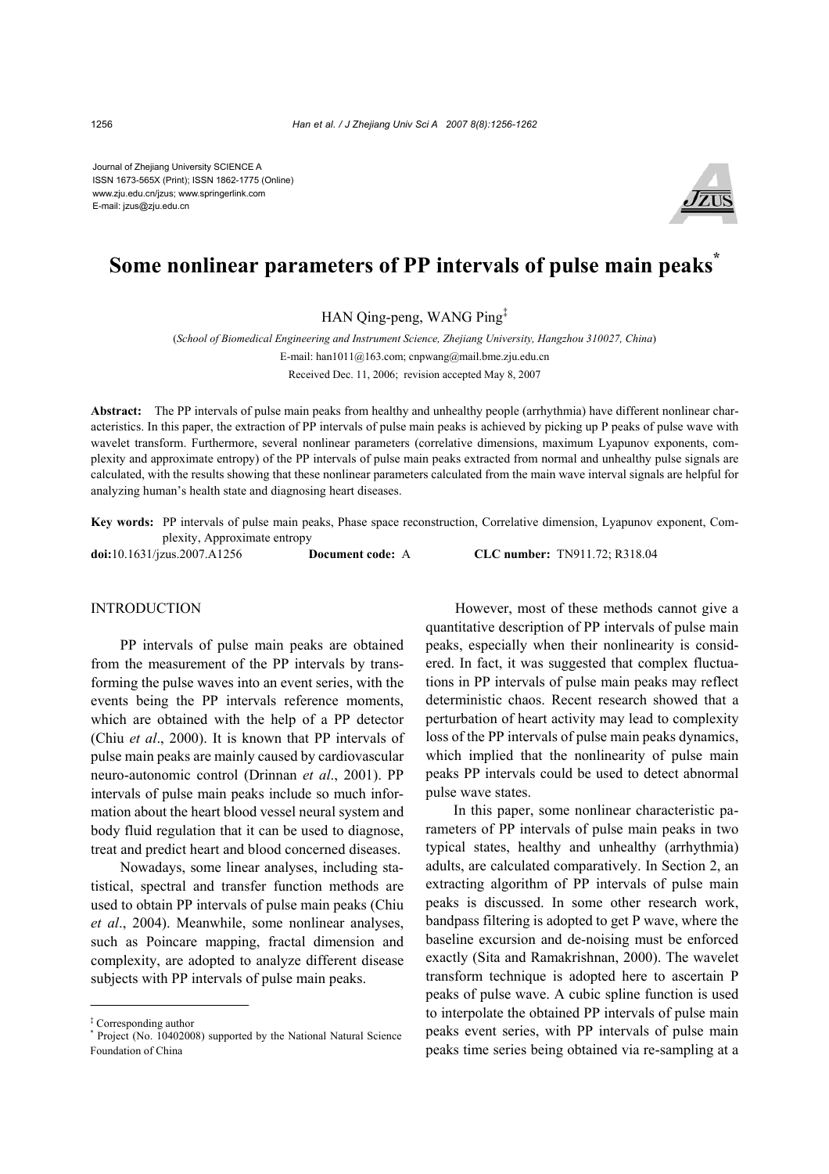Journal of Zhejiang University SCIENCE A ISSN 1673-565X (Print); ISSN 1862-1775 (Online) www.zju.edu.cn/jzus; www.springerlink.com E-mail: jzus@zju.edu.cn



# **Some nonlinear parameters of PP intervals of pulse main peaks\***

HAN Qing-peng, WANG Ping‡

(*School of Biomedical Engineering and Instrument Science, Zhejiang University, Hangzhou 310027, China*) E-mail: han1011@163.com; cnpwang@mail.bme.zju.edu.cn

Received Dec. 11, 2006; revision accepted May 8, 2007

**Abstract:** The PP intervals of pulse main peaks from healthy and unhealthy people (arrhythmia) have different nonlinear characteristics. In this paper, the extraction of PP intervals of pulse main peaks is achieved by picking up P peaks of pulse wave with wavelet transform. Furthermore, several nonlinear parameters (correlative dimensions, maximum Lyapunov exponents, complexity and approximate entropy) of the PP intervals of pulse main peaks extracted from normal and unhealthy pulse signals are calculated, with the results showing that these nonlinear parameters calculated from the main wave interval signals are helpful for analyzing human's health state and diagnosing heart diseases.

**Key words:** PP intervals of pulse main peaks, Phase space reconstruction, Correlative dimension, Lyapunov exponent, Complexity, Approximate entropy

**doi:**10.1631/jzus.2007.A1256 **Document code:** A **CLC number:** TN911.72; R318.04

### INTRODUCTION

PP intervals of pulse main peaks are obtained from the measurement of the PP intervals by transforming the pulse waves into an event series, with the events being the PP intervals reference moments, which are obtained with the help of a PP detector (Chiu *et al*., 2000). It is known that PP intervals of pulse main peaks are mainly caused by cardiovascular neuro-autonomic control (Drinnan *et al*., 2001). PP intervals of pulse main peaks include so much information about the heart blood vessel neural system and body fluid regulation that it can be used to diagnose, treat and predict heart and blood concerned diseases.

Nowadays, some linear analyses, including statistical, spectral and transfer function methods are used to obtain PP intervals of pulse main peaks (Chiu *et al*., 2004). Meanwhile, some nonlinear analyses, such as Poincare mapping, fractal dimension and complexity, are adopted to analyze different disease subjects with PP intervals of pulse main peaks.

However, most of these methods cannot give a quantitative description of PP intervals of pulse main peaks, especially when their nonlinearity is considered. In fact, it was suggested that complex fluctuations in PP intervals of pulse main peaks may reflect deterministic chaos. Recent research showed that a perturbation of heart activity may lead to complexity loss of the PP intervals of pulse main peaks dynamics, which implied that the nonlinearity of pulse main peaks PP intervals could be used to detect abnormal pulse wave states.

In this paper, some nonlinear characteristic parameters of PP intervals of pulse main peaks in two typical states, healthy and unhealthy (arrhythmia) adults, are calculated comparatively. In Section 2, an extracting algorithm of PP intervals of pulse main peaks is discussed. In some other research work, bandpass filtering is adopted to get P wave, where the baseline excursion and de-noising must be enforced exactly (Sita and Ramakrishnan, 2000). The wavelet transform technique is adopted here to ascertain P peaks of pulse wave. A cubic spline function is used to interpolate the obtained PP intervals of pulse main peaks event series, with PP intervals of pulse main peaks time series being obtained via re-sampling at a

<sup>‡</sup> Corresponding author

<sup>\*</sup> Project (No. 10402008) supported by the National Natural Science Foundation of China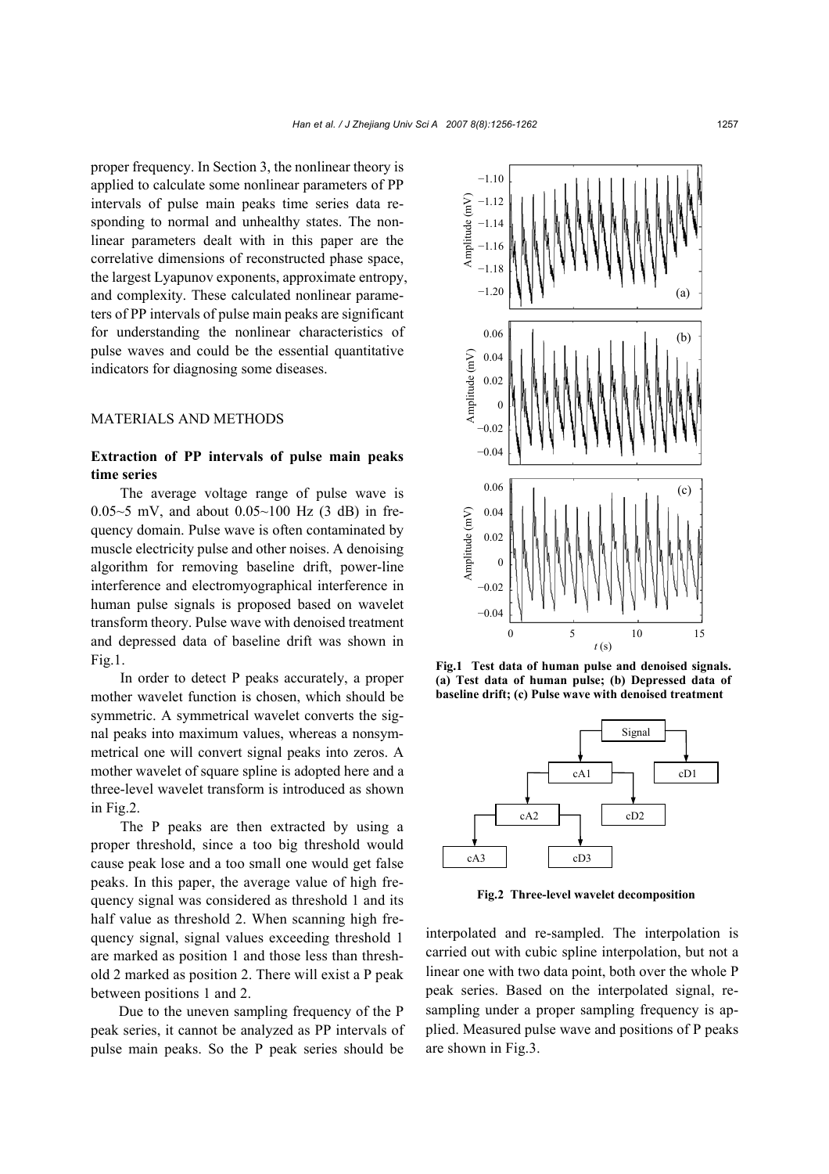proper frequency. In Section 3, the nonlinear theory is applied to calculate some nonlinear parameters of PP intervals of pulse main peaks time series data responding to normal and unhealthy states. The nonlinear parameters dealt with in this paper are the correlative dimensions of reconstructed phase space, the largest Lyapunov exponents, approximate entropy, and complexity. These calculated nonlinear parameters of PP intervals of pulse main peaks are significant for understanding the nonlinear characteristics of pulse waves and could be the essential quantitative indicators for diagnosing some diseases.

## MATERIALS AND METHODS

## **Extraction of PP intervals of pulse main peaks time series**

The average voltage range of pulse wave is 0.05~5 mV, and about  $0.05~100$  Hz  $(3$  dB) in frequency domain. Pulse wave is often contaminated by muscle electricity pulse and other noises. A denoising algorithm for removing baseline drift, power-line interference and electromyographical interference in human pulse signals is proposed based on wavelet transform theory. Pulse wave with denoised treatment and depressed data of baseline drift was shown in Fig.1.

In order to detect P peaks accurately, a proper mother wavelet function is chosen, which should be symmetric. A symmetrical wavelet converts the signal peaks into maximum values, whereas a nonsymmetrical one will convert signal peaks into zeros. A mother wavelet of square spline is adopted here and a three-level wavelet transform is introduced as shown in Fig.2.

The P peaks are then extracted by using a proper threshold, since a too big threshold would cause peak lose and a too small one would get false peaks. In this paper, the average value of high frequency signal was considered as threshold 1 and its half value as threshold 2. When scanning high frequency signal, signal values exceeding threshold 1 are marked as position 1 and those less than threshold 2 marked as position 2. There will exist a P peak between positions 1 and 2.

Due to the uneven sampling frequency of the P peak series, it cannot be analyzed as PP intervals of pulse main peaks. So the P peak series should be



**Fig.1 Test data of human pulse and denoised signals. (a) Test data of human pulse; (b) Depressed data of baseline drift; (c) Pulse wave with denoised treatment**



**Fig.2 Three-level wavelet decomposition**

interpolated and re-sampled. The interpolation is carried out with cubic spline interpolation, but not a linear one with two data point, both over the whole P peak series. Based on the interpolated signal, resampling under a proper sampling frequency is applied. Measured pulse wave and positions of P peaks are shown in Fig.3.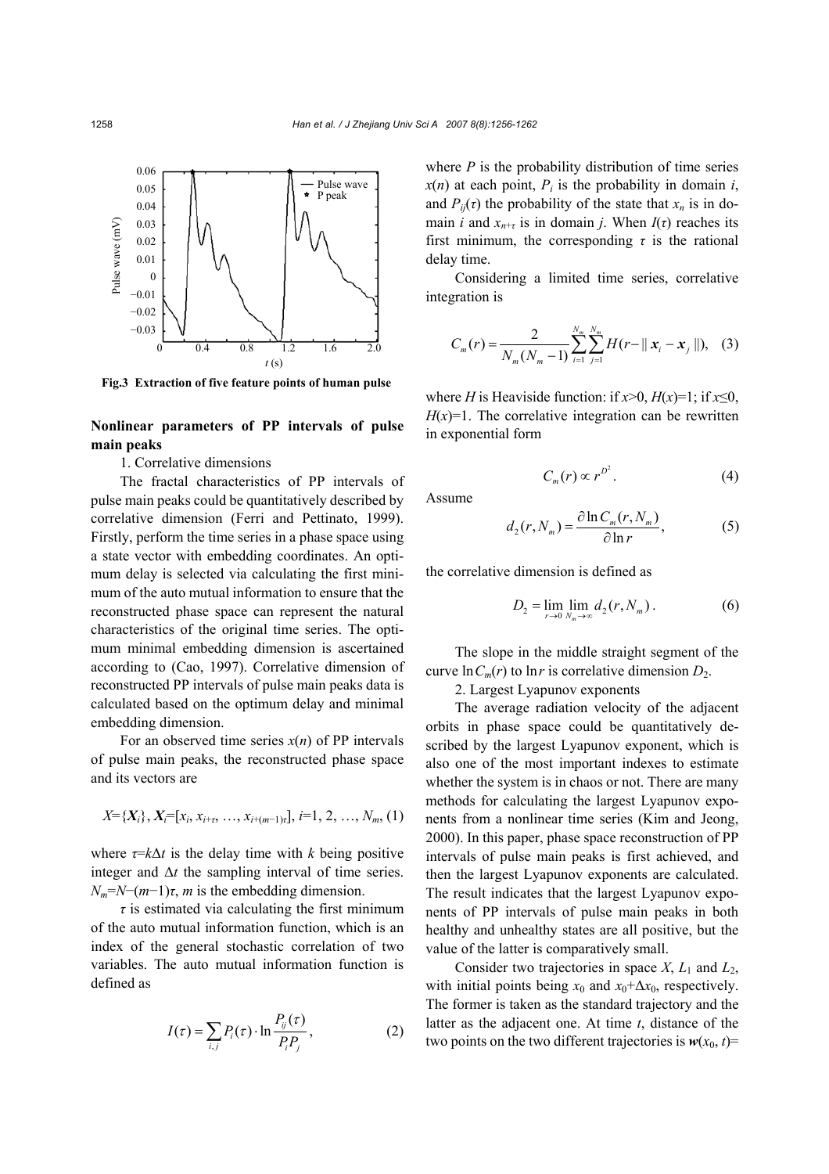

**Fig.3 Extraction of five feature points of human pulse**

## **Nonlinear parameters of PP intervals of pulse main peaks**

1. Correlative dimensions

The fractal characteristics of PP intervals of pulse main peaks could be quantitatively described by correlative dimension (Ferri and Pettinato, 1999). Firstly, perform the time series in a phase space using a state vector with embedding coordinates. An optimum delay is selected via calculating the first minimum of the auto mutual information to ensure that the reconstructed phase space can represent the natural characteristics of the original time series. The optimum minimal embedding dimension is ascertained according to (Cao, 1997). Correlative dimension of reconstructed PP intervals of pulse main peaks data is calculated based on the optimum delay and minimal embedding dimension.

For an observed time series  $x(n)$  of PP intervals of pulse main peaks, the reconstructed phase space and its vectors are

$$
X = \{X_i\}, X_i = [x_i, x_{i+\tau}, \ldots, x_{i+(m-1)\tau}], i=1, 2, \ldots, N_m, (1)
$$

where  $\tau = k\Delta t$  is the delay time with *k* being positive integer and ∆*t* the sampling interval of time series.  $N_m = N - (m-1)\tau$ , *m* is the embedding dimension.

 $\tau$  is estimated via calculating the first minimum of the auto mutual information function, which is an index of the general stochastic correlation of two variables. The auto mutual information function is defined as

$$
I(\tau) = \sum_{i,j} P_i(\tau) \cdot \ln \frac{P_{ij}(\tau)}{P_i P_j},
$$
 (2)

where  $P$  is the probability distribution of time series  $x(n)$  at each point,  $P_i$  is the probability in domain *i*, and  $P_{ij}(\tau)$  the probability of the state that  $x_n$  is in domain *i* and  $x_{n+t}$  is in domain *j*. When  $I(\tau)$  reaches its first minimum, the corresponding  $\tau$  is the rational delay time.

Considering a limited time series, correlative integration is

$$
C_m(r) = \frac{2}{N_m(N_m-1)} \sum_{i=1}^{N_m} \sum_{j=1}^{N_m} H(r-||\mathbf{x}_i - \mathbf{x}_j||), \quad (3)
$$

where *H* is Heaviside function: if  $x>0$ ,  $H(x)=1$ ; if  $x\leq0$ ,  $H(x)=1$ . The correlative integration can be rewritten in exponential form

$$
C_m(r) \propto r^{D^2}.
$$
 (4)

Assume

$$
d_2(r, N_m) = \frac{\partial \ln C_m(r, N_m)}{\partial \ln r},
$$
 (5)

the correlative dimension is defined as

$$
D_2 = \lim_{r \to 0} \lim_{N_m \to \infty} d_2(r, N_m).
$$
 (6)

The slope in the middle straight segment of the curve  $\ln C_m(r)$  to  $\ln r$  is correlative dimension  $D_2$ .

2. Largest Lyapunov exponents

The average radiation velocity of the adjacent orbits in phase space could be quantitatively described by the largest Lyapunov exponent, which is also one of the most important indexes to estimate whether the system is in chaos or not. There are many methods for calculating the largest Lyapunov exponents from a nonlinear time series (Kim and Jeong, 2000). In this paper, phase space reconstruction of PP intervals of pulse main peaks is first achieved, and then the largest Lyapunov exponents are calculated. The result indicates that the largest Lyapunov exponents of PP intervals of pulse main peaks in both healthy and unhealthy states are all positive, but the value of the latter is comparatively small.

Consider two trajectories in space  $X$ ,  $L_1$  and  $L_2$ , with initial points being  $x_0$  and  $x_0 + \Delta x_0$ , respectively. The former is taken as the standard trajectory and the latter as the adjacent one. At time *t*, distance of the two points on the two different trajectories is  $w(x_0, t)$ =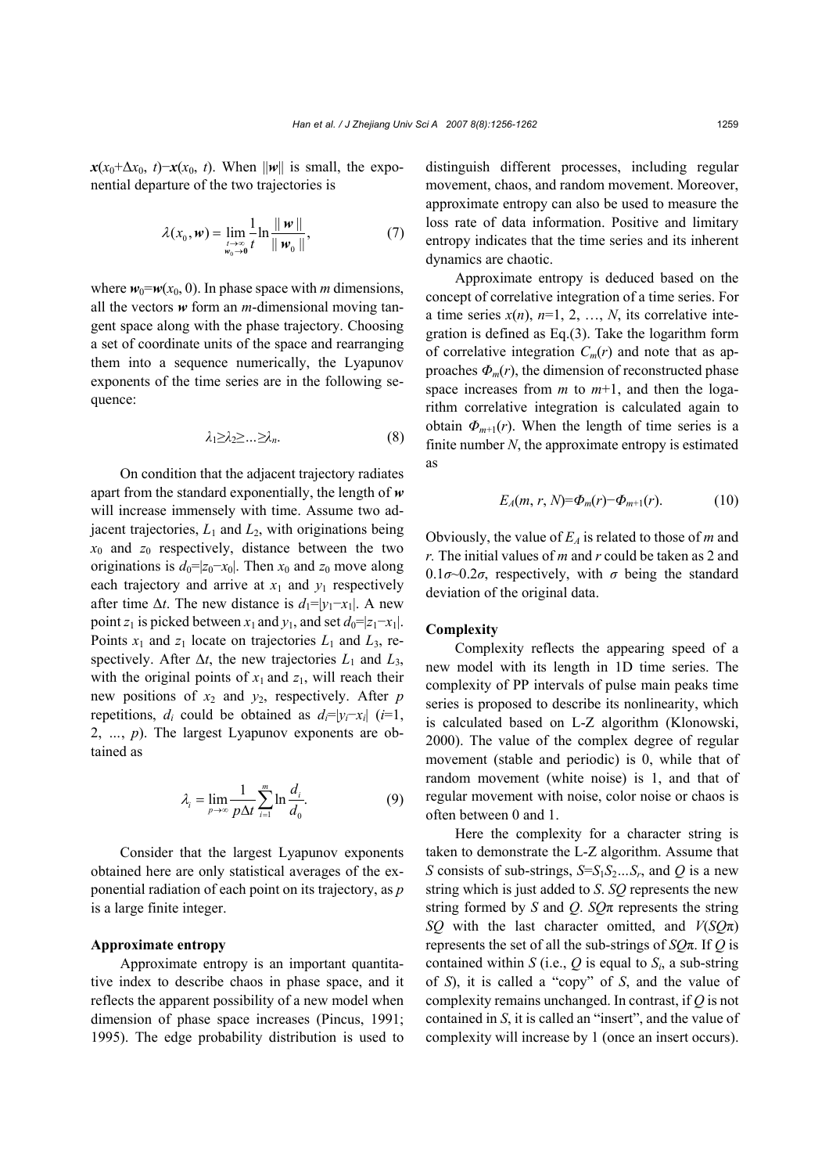$\mathbf{x}(x_0+\Delta x_0, t)-\mathbf{x}(x_0, t)$ . When  $\|\mathbf{w}\|$  is small, the exponential departure of the two trajectories is

$$
\lambda(x_0, \mathbf{w}) = \lim_{\substack{t \to \infty \\ w_0 \to 0}} \frac{1}{t} \ln \frac{\|\mathbf{w}\|}{\|\mathbf{w}_0\|},\tag{7}
$$

where  $w_0=w(x_0, 0)$ . In phase space with *m* dimensions, all the vectors *w* form an *m*-dimensional moving tangent space along with the phase trajectory. Choosing a set of coordinate units of the space and rearranging them into a sequence numerically, the Lyapunov exponents of the time series are in the following sequence:

$$
\lambda_1 \geq \lambda_2 \geq \ldots \geq \lambda_n. \tag{8}
$$

On condition that the adjacent trajectory radiates apart from the standard exponentially, the length of *w* will increase immensely with time. Assume two adjacent trajectories, *L*1 and *L*2, with originations being *x*0 and *z*0 respectively, distance between the two originations is  $d_0=|z_0-x_0|$ . Then  $x_0$  and  $z_0$  move along each trajectory and arrive at  $x_1$  and  $y_1$  respectively after time  $\Delta t$ . The new distance is  $d_1=|y_1-x_1|$ . A new point *z*<sub>1</sub> is picked between *x*<sub>1</sub> and *y*<sub>1</sub>, and set  $d_0=|z_1-x_1|$ . Points  $x_1$  and  $z_1$  locate on trajectories  $L_1$  and  $L_3$ , respectively. After  $\Delta t$ , the new trajectories  $L_1$  and  $L_3$ , with the original points of  $x_1$  and  $z_1$ , will reach their new positions of  $x_2$  and  $y_2$ , respectively. After *p* repetitions, *d<sub>i</sub>* could be obtained as  $d_i=|y_i-x_i|$  (*i*=1, 2, *…*, *p*). The largest Lyapunov exponents are obtained as

$$
\lambda_i = \lim_{p \to \infty} \frac{1}{p \Delta t} \sum_{i=1}^{m} \ln \frac{d_i}{d_0}.
$$
 (9)

Consider that the largest Lyapunov exponents obtained here are only statistical averages of the exponential radiation of each point on its trajectory, as *p* is a large finite integer.

### **Approximate entropy**

Approximate entropy is an important quantitative index to describe chaos in phase space, and it reflects the apparent possibility of a new model when dimension of phase space increases (Pincus, 1991; 1995). The edge probability distribution is used to distinguish different processes, including regular movement, chaos, and random movement. Moreover, approximate entropy can also be used to measure the loss rate of data information. Positive and limitary entropy indicates that the time series and its inherent dynamics are chaotic.

Approximate entropy is deduced based on the concept of correlative integration of a time series. For a time series  $x(n)$ ,  $n=1, 2, ..., N$ , its correlative integration is defined as Eq.(3). Take the logarithm form of correlative integration  $C_m(r)$  and note that as approaches  $\Phi_m(r)$ , the dimension of reconstructed phase space increases from *m* to *m*+1, and then the logarithm correlative integration is calculated again to obtain  $\Phi_{m+1}(r)$ . When the length of time series is a finite number *N*, the approximate entropy is estimated as

$$
E_A(m, r, N) = \Phi_m(r) - \Phi_{m+1}(r).
$$
 (10)

Obviously, the value of  $E_A$  is related to those of *m* and *r.* The initial values of *m* and *r* could be taken as 2 and 0.1 $\sigma$ ~0.2 $\sigma$ , respectively, with  $\sigma$  being the standard deviation of the original data.

#### **Complexity**

Complexity reflects the appearing speed of a new model with its length in 1D time series. The complexity of PP intervals of pulse main peaks time series is proposed to describe its nonlinearity, which is calculated based on L-Z algorithm (Klonowski, 2000). The value of the complex degree of regular movement (stable and periodic) is 0, while that of random movement (white noise) is 1, and that of regular movement with noise, color noise or chaos is often between 0 and 1.

Here the complexity for a character string is taken to demonstrate the L-Z algorithm. Assume that *S* consists of sub-strings,  $S=S_1S_2...S_r$ , and *Q* is a new string which is just added to *S*. *SQ* represents the new string formed by *S* and *Q*. *SQ*π represents the string *SQ* with the last character omitted, and *V*(*SQ*π) represents the set of all the sub-strings of *SQ*π. If *Q* is contained within *S* (i.e.,  $Q$  is equal to  $S_i$ , a sub-string of *S*), it is called a "copy" of *S*, and the value of complexity remains unchanged. In contrast, if *Q* is not contained in *S*, it is called an "insert", and the value of complexity will increase by 1 (once an insert occurs).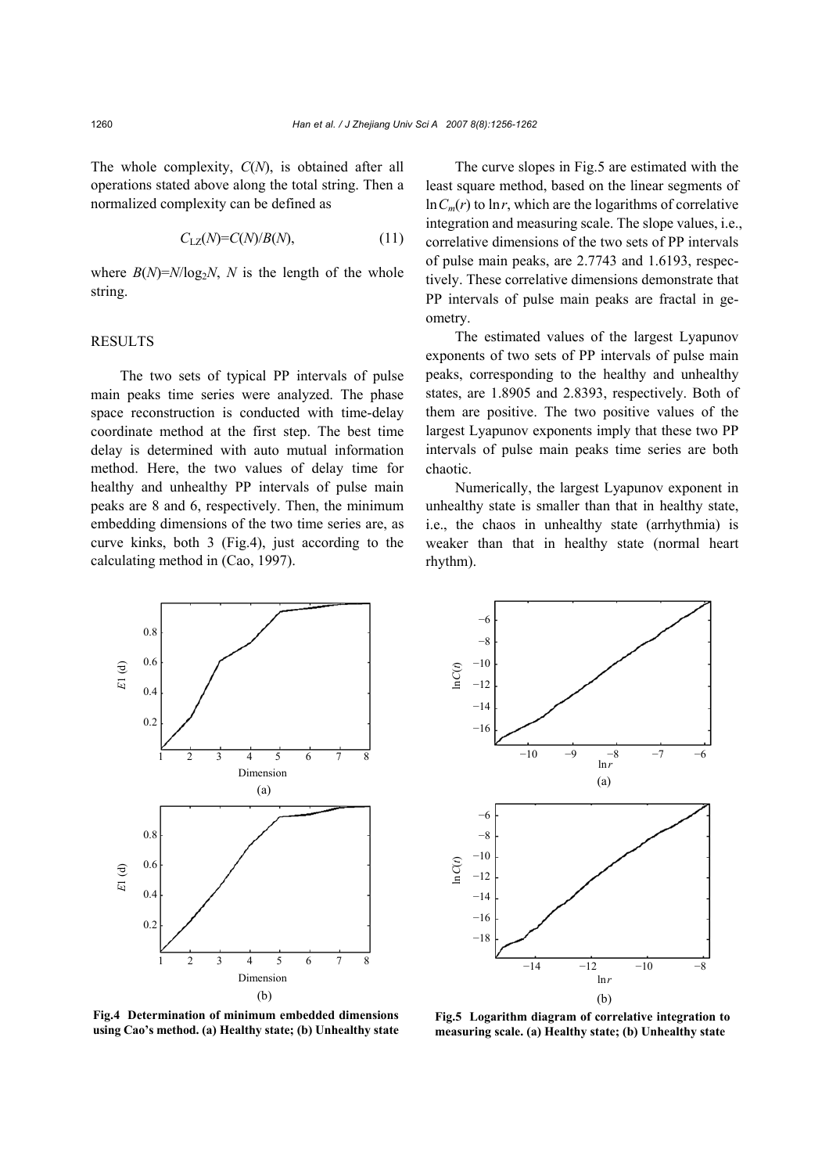The whole complexity, *C*(*N*), is obtained after all operations stated above along the total string. Then a normalized complexity can be defined as

$$
C_{\text{LZ}}(N) = C(N)/B(N),\tag{11}
$$

where  $B(N)=N/\log_2 N$ , *N* is the length of the whole string.

#### RESULTS

The two sets of typical PP intervals of pulse main peaks time series were analyzed. The phase space reconstruction is conducted with time-delay coordinate method at the first step. The best time delay is determined with auto mutual information method. Here, the two values of delay time for healthy and unhealthy PP intervals of pulse main peaks are 8 and 6, respectively. Then, the minimum embedding dimensions of the two time series are, as curve kinks, both 3 (Fig.4), just according to the calculating method in (Cao, 1997).

The curve slopes in Fig.5 are estimated with the least square method, based on the linear segments of  $\ln C_m(r)$  to  $\ln r$ , which are the logarithms of correlative integration and measuring scale. The slope values, i.e., correlative dimensions of the two sets of PP intervals of pulse main peaks, are 2.7743 and 1.6193, respectively. These correlative dimensions demonstrate that PP intervals of pulse main peaks are fractal in geometry.

The estimated values of the largest Lyapunov exponents of two sets of PP intervals of pulse main peaks, corresponding to the healthy and unhealthy states, are 1.8905 and 2.8393, respectively. Both of them are positive. The two positive values of the largest Lyapunov exponents imply that these two PP intervals of pulse main peaks time series are both chaotic.

Numerically, the largest Lyapunov exponent in unhealthy state is smaller than that in healthy state, i.e., the chaos in unhealthy state (arrhythmia) is weaker than that in healthy state (normal heart rhythm).





**Fig.4 Determination of minimum embedded dimensions using Cao's method. (a) Healthy state; (b) Unhealthy state**

**Fig.5 Logarithm diagram of correlative integration to measuring scale. (a) Healthy state; (b) Unhealthy state**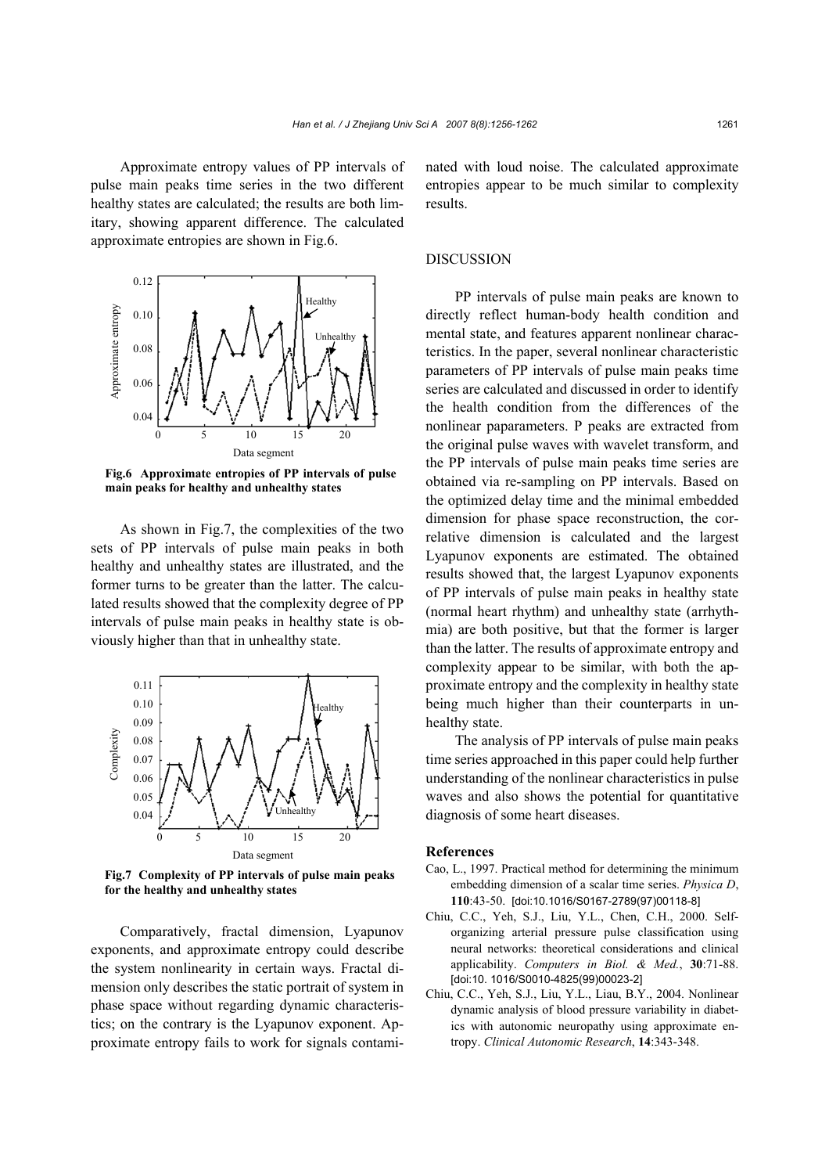Approximate entropy values of PP intervals of pulse main peaks time series in the two different healthy states are calculated; the results are both limitary, showing apparent difference. The calculated approximate entropies are shown in Fig.6.



**Fig.6 Approximate entropies of PP intervals of pulse main peaks for healthy and unhealthy states** 

As shown in Fig.7, the complexities of the two sets of PP intervals of pulse main peaks in both healthy and unhealthy states are illustrated, and the former turns to be greater than the latter. The calculated results showed that the complexity degree of PP intervals of pulse main peaks in healthy state is obviously higher than that in unhealthy state.



**Fig.7 Complexity of PP intervals of pulse main peaks for the healthy and unhealthy states** 

Comparatively, fractal dimension, Lyapunov exponents, and approximate entropy could describe the system nonlinearity in certain ways. Fractal dimension only describes the static portrait of system in phase space without regarding dynamic characteristics; on the contrary is the Lyapunov exponent. Approximate entropy fails to work for signals contaminated with loud noise. The calculated approximate entropies appear to be much similar to complexity results.

#### DISCUSSION

PP intervals of pulse main peaks are known to directly reflect human-body health condition and mental state, and features apparent nonlinear characteristics. In the paper, several nonlinear characteristic parameters of PP intervals of pulse main peaks time series are calculated and discussed in order to identify the health condition from the differences of the nonlinear paparameters. P peaks are extracted from the original pulse waves with wavelet transform, and the PP intervals of pulse main peaks time series are obtained via re-sampling on PP intervals. Based on the optimized delay time and the minimal embedded dimension for phase space reconstruction, the correlative dimension is calculated and the largest Lyapunov exponents are estimated. The obtained results showed that, the largest Lyapunov exponents of PP intervals of pulse main peaks in healthy state (normal heart rhythm) and unhealthy state (arrhythmia) are both positive, but that the former is larger than the latter. The results of approximate entropy and complexity appear to be similar, with both the approximate entropy and the complexity in healthy state being much higher than their counterparts in unhealthy state.

The analysis of PP intervals of pulse main peaks time series approached in this paper could help further understanding of the nonlinear characteristics in pulse waves and also shows the potential for quantitative diagnosis of some heart diseases.

#### **References**

- Cao, L., 1997. Practical method for determining the minimum embedding dimension of a scalar time series. *Physica D*, **110**:43-50. [doi:10.1016/S0167-2789(97)00118-8]
- Chiu, C.C., Yeh, S.J., Liu, Y.L., Chen, C.H., 2000. Selforganizing arterial pressure pulse classification using neural networks: theoretical considerations and clinical applicability. *Computers in Biol. & Med.*, **30**:71-88. [doi:10. 1016/S0010-4825(99)00023-2]
- Chiu, C.C., Yeh, S.J., Liu, Y.L., Liau, B.Y., 2004. Nonlinear dynamic analysis of blood pressure variability in diabetics with autonomic neuropathy using approximate entropy. *Clinical Autonomic Research*, **14**:343-348.